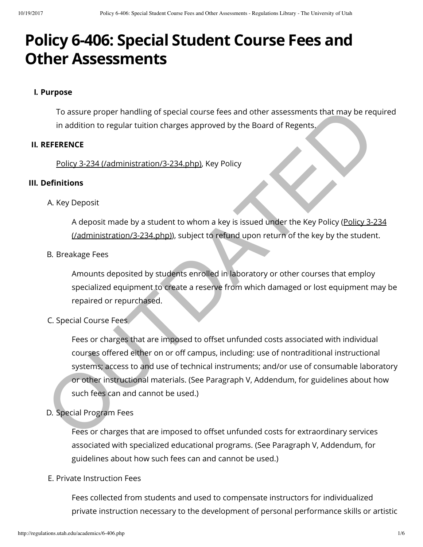# **Policy 6-406: Special Student Course Fees and Other Assessments**

## **I. Purpose**

To assure proper handling of special course fees and other assessments that may be required in addition to regular tuition charges approved by the Board of Regents.

## **II. REFERENCE**

Policy 3-234 (/administration/3-234.php), Key Policy

# **III. Definitions**

A. Key Deposit

A deposit made by a student to whom a key is issued under the Key Policy (Policy 3-234 (/administration/3-234.php)), subject to refund upon return of the key by the student.

## B. Breakage Fees

Amounts deposited by students enrolled in laboratory or other courses that employ specialized equipment to create a reserve from which damaged or lost equipment may be repaired or repurchased.

# C. Special Course Fees

Fees or charges that are imposed to offset unfunded costs associated with individual courses offered either on or off campus, including: use of nontraditional instructional systems; access to and use of technical instruments; and/or use of consumable laboratory or other instructional materials. (See Paragraph V, Addendum, for guidelines about how such fees can and cannot be used.) To assure proper handling of special course fees and other assessments that may be req<br>
in addition to regular tultion charges approved by the Board of Regents.<br>
EFFERENCE<br>
Policy 3.234 (/administration/3-234.php), key Pol

# D. Special Program Fees

Fees or charges that are imposed to offset unfunded costs for extraordinary services associated with specialized educational programs. (See Paragraph V, Addendum, for guidelines about how such fees can and cannot be used.)

## E. Private Instruction Fees

Fees collected from students and used to compensate instructors for individualized private instruction necessary to the development of personal performance skills or artistic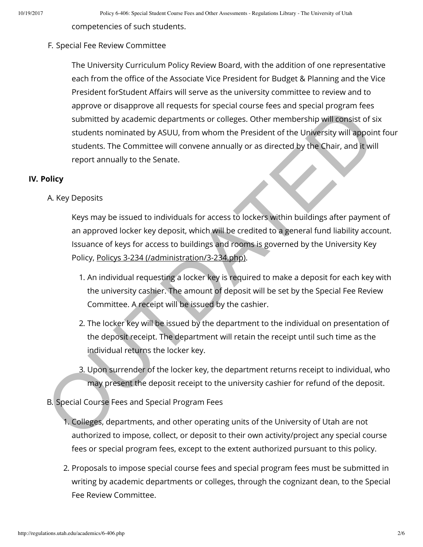competencies of such students.

#### F. Special Fee Review Committee

The University Curriculum Policy Review Board, with the addition of one representative each from the office of the Associate Vice President for Budget & Planning and the Vice President forStudent Affairs will serve as the university committee to review and to approve or disapprove all requests for special course fees and special program fees submitted by academic departments or colleges. Other membership will consist of six students nominated by ASUU, from whom the President of the University will appoint four students. The Committee will convene annually or as directed by the Chair, and it will report annually to the Senate. submitted by academic departments or colleges. Other membership will consist of students nominated by ASUU, from whom the President of the University will consist of students. The Committee will convene annually or as dire

#### **IV. Policy**

#### A. Key Deposits

Keys may be issued to individuals for access to lockers within buildings after payment of an approved locker key deposit, which will be credited to a general fund liability account. Issuance of keys for access to buildings and rooms is governed by the University Key Policy, Policys 3-234 (/administration/3-234.php).

- 1. An individual requesting a locker key is required to make a deposit for each key with the university cashier. The amount of deposit will be set by the Special Fee Review Committee. A receipt will be issued by the cashier.
- 2. The locker key will be issued by the department to the individual on presentation of the deposit receipt. The department will retain the receipt until such time as the individual returns the locker key.
- 3. Upon surrender of the locker key, the department returns receipt to individual, who may present the deposit receipt to the university cashier for refund of the deposit.
- B. Special Course Fees and Special Program Fees
	- 1. Colleges, departments, and other operating units of the University of Utah are not authorized to impose, collect, or deposit to their own activity/project any special course fees or special program fees, except to the extent authorized pursuant to this policy.
	- 2. Proposals to impose special course fees and special program fees must be submitted in writing by academic departments or colleges, through the cognizant dean, to the Special Fee Review Committee.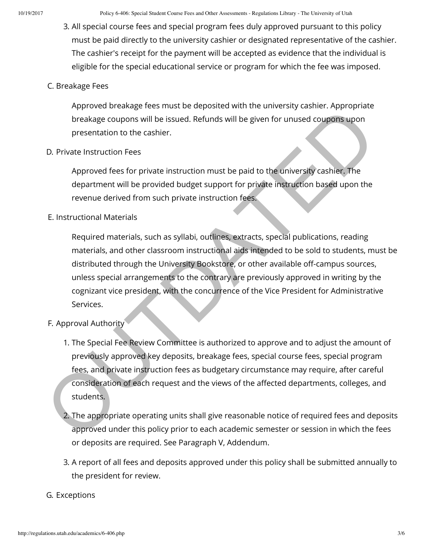3. All special course fees and special program fees duly approved pursuant to this policy must be paid directly to the university cashier or designated representative of the cashier. The cashier's receipt for the payment will be accepted as evidence that the individual is eligible for the special educational service or program for which the fee was imposed.

#### C. Breakage Fees

Approved breakage fees must be deposited with the university cashier. Appropriate breakage coupons will be issued. Refunds will be given for unused coupons upon presentation to the cashier.

D. Private Instruction Fees

Approved fees for private instruction must be paid to the university cashier. The department will be provided budget support for private instruction based upon the revenue derived from such private instruction fees.

#### E. Instructional Materials

Required materials, such as syllabi, outlines, extracts, special publications, reading materials, and other classroom instructional aids intended to be sold to students, must be distributed through the University Bookstore, or other available off-campus sources, unless special arrangements to the contrary are previously approved in writing by the cognizant vice president, with the concurrence of the Vice President for Administrative Services. Nunveu the action of the issued. Refunds will be given for unused coupons point<br>the breakage coupons will be issued. Refunds will be given for unused coupons upon<br>presentation to the cashier.<br>D. Private Instruction Fees<br>Ap

- F. Approval Authority
	- 1. The Special Fee Review Committee is authorized to approve and to adjust the amount of previously approved key deposits, breakage fees, special course fees, special program fees, and private instruction fees as budgetary circumstance may require, after careful consideration of each request and the views of the affected departments, colleges, and students.
	- 2. The appropriate operating units shall give reasonable notice of required fees and deposits approved under this policy prior to each academic semester or session in which the fees or deposits are required. See Paragraph V, Addendum.
	- 3. A report of all fees and deposits approved under this policy shall be submitted annually to the president for review.

#### G. Exceptions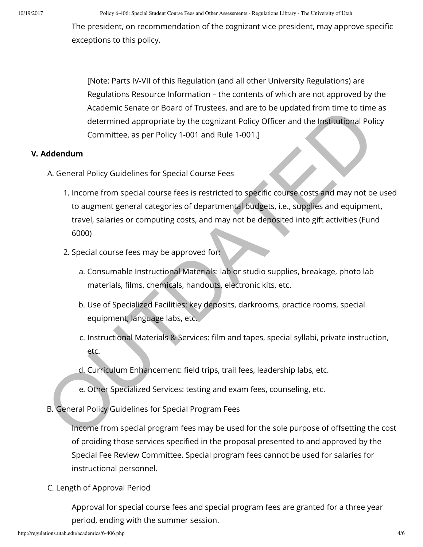The president, on recommendation of the cognizant vice president, may approve specific exceptions to this policy.

[Note: Parts IV-VII of this Regulation (and all other University Regulations) are Regulations Resource Information – the contents of which are not approved by the Academic Senate or Board of Trustees, and are to be updated from time to time as determined appropriate by the cognizant Policy Officer and the Institutional Policy Committee, as per Policy 1-001 and Rule 1-001.]

#### **V. Addendum**

- A. General Policy Guidelines for Special Course Fees
- 1. Income from special course fees is restricted to specific course costs and may not be used to augment general categories of departmental budgets, i.e., supplies and equipment, travel, salaries or computing costs, and may not be deposited into gift activities (Fund 6000) Academic amapropriate by the cognizant Policy Officer and the Institutional Policy<br>determined appropriate by the cognizant Policy Officer and the Institutional Policy<br>Committee, as per Policy 1-001 and Rule 1-001.]<br>Addendu
	- 2. Special course fees may be approved for:
		- a. Consumable Instructional Materials: lab or studio supplies, breakage, photo lab materials, films, chemicals, handouts, electronic kits, etc.
		- b. Use of Specialized Facilities: key deposits, darkrooms, practice rooms, special equipment, language labs, etc.
		- c. Instructional Materials & Services: film and tapes, special syllabi, private instruction, etc.
		- d. Curriculum Enhancement: field trips, trail fees, leadership labs, etc.
		- e. Other Specialized Services: testing and exam fees, counseling, etc.
- B. General Policy Guidelines for Special Program Fees

Income from special program fees may be used for the sole purpose of offsetting the cost of proiding those services specified in the proposal presented to and approved by the Special Fee Review Committee. Special program fees cannot be used for salaries for instructional personnel.

## C. Length of Approval Period

Approval for special course fees and special program fees are granted for a three year period, ending with the summer session.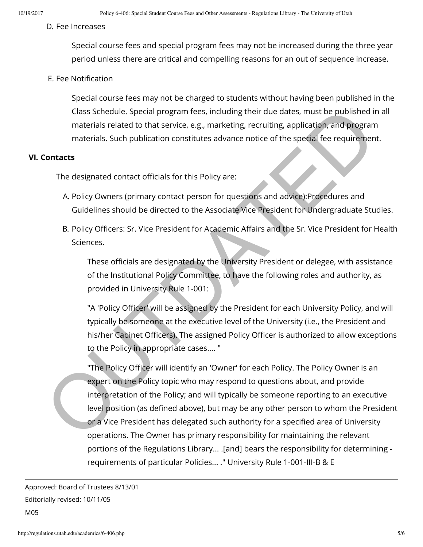#### D. Fee Increases

Special course fees and special program fees may not be increased during the three year period unless there are critical and compelling reasons for an out of sequence increase.

#### E. Fee Notification

Special course fees may not be charged to students without having been published in the Class Schedule. Special program fees, including their due dates, must be published in all materials related to that service, e.g., marketing, recruiting, application, and program materials. Such publication constitutes advance notice of the special fee requirement.

#### **VI. Contacts**

The designated contact officials for this Policy are:

- A. Policy Owners (primary contact person for questions and advice):Procedures and Guidelines should be directed to the Associate Vice President for Undergraduate Studies.
- B. Policy Officers: Sr. Vice President for Academic Affairs and the Sr. Vice President for Health Sciences.

These officials are designated by the University President or delegee, with assistance of the Institutional Policy Committee, to have the following roles and authority, as provided in University Rule 1-001:

"A 'Policy Officer' will be assigned by the President for each University Policy, and will typically be someone at the executive level of the University (i.e., the President and his/her Cabinet Officers). The assigned Policy Officer is authorized to allow exceptions to the Policy in appropriate cases.... "

"The Policy Officer will identify an 'Owner' for each Policy. The Policy Owner is an expert on the Policy topic who may respond to questions about, and provide interpretation of the Policy; and will typically be someone reporting to an executive level position (as defined above), but may be any other person to whom the President or a Vice President has delegated such authority for a specified area of University operations. The Owner has primary responsibility for maintaining the relevant portions of the Regulations Library... .[and] bears the responsibility for determining requirements of particular Policies... ." University Rule 1-001-III-B & E Class Schedule. Special program fees, including their due dates, must be published in<br>teatriels related to that service, e.g., marketing, recruiting, application, and program<br>contents is Such publication constitutes advanc

Approved: Board of Trustees 8/13/01 Editorially revised: 10/11/05